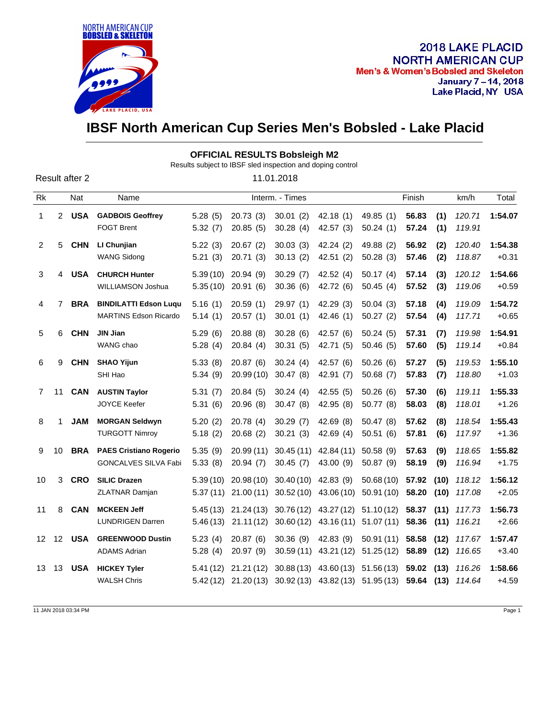

## **IBSF North American Cup Series Men's Bobsled - Lake Placid**

|                |                |                |                                                              |                      |                         | <b>OFFICIAL RESULTS Bobsleigh M2</b><br>Results subject to IBSF sled inspection and doping control |                                    |                                                                    |                     |              |                             |                    |
|----------------|----------------|----------------|--------------------------------------------------------------|----------------------|-------------------------|----------------------------------------------------------------------------------------------------|------------------------------------|--------------------------------------------------------------------|---------------------|--------------|-----------------------------|--------------------|
|                |                | Result after 2 |                                                              |                      |                         | 11.01.2018                                                                                         |                                    |                                                                    |                     |              |                             |                    |
| Rk             |                | Nat            | Name                                                         | Interm. - Times      |                         |                                                                                                    |                                    | Finish                                                             |                     |              | km/h                        | Total              |
| $\mathbf{1}$   | $\overline{2}$ | <b>USA</b>     | <b>GADBOIS Geoffrey</b><br><b>FOGT Brent</b>                 | 5.28(5)<br>5.32(7)   | 20.73(3)<br>20.85(5)    | 30.01(2)<br>30.28(4)                                                                               | 42.18(1)<br>42.57(3)               | 49.85 (1)<br>50.24(1)                                              | 56.83<br>57.24      | (1)<br>(1)   | 120.71<br>119.91            | 1:54.07            |
| $\overline{2}$ | 5              | <b>CHN</b>     | LI Chunjian<br><b>WANG Sidong</b>                            | 5.22(3)<br>5.21(3)   | 20.67(2)<br>20.71(3)    | 30.03(3)<br>30.13(2)                                                                               | 42.24(2)<br>42.51(2)               | 49.88 (2)<br>50.28(3)                                              | 56.92<br>57.46      | (2)<br>(2)   | 120.40<br>118.87            | 1:54.38<br>$+0.31$ |
| 3              | 4              | <b>USA</b>     | <b>CHURCH Hunter</b><br>WILLIAMSON Joshua                    | 5.39(10)<br>5.35(10) | 20.94(9)<br>20.91(6)    | 30.29(7)<br>30.36(6)                                                                               | 42.52(4)<br>42.72 (6)              | 50.17(4)<br>50.45(4)                                               | 57.14<br>57.52      | (3)<br>(3)   | 120.12<br>119.06            | 1:54.66<br>$+0.59$ |
| $\overline{4}$ | 7              | <b>BRA</b>     | <b>BINDILATTI Edson Luqu</b><br><b>MARTINS Edson Ricardo</b> | 5.16(1)<br>5.14(1)   | 20.59(1)<br>20.57(1)    | 29.97(1)<br>30.01(1)                                                                               | 42.29(3)<br>42.46(1)               | 50.04(3)<br>50.27(2)                                               | 57.18<br>57.54      | (4)<br>(4)   | 119.09<br>117.71            | 1:54.72<br>$+0.65$ |
| 5              | 6              | <b>CHN</b>     | <b>JIN Jian</b><br>WANG chao                                 | 5.29(6)<br>5.28(4)   | 20.88(8)<br>20.84(4)    | 30.28(6)<br>30.31(5)                                                                               | 42.57 (6)<br>42.71 (5)             | 50.24(5)<br>50.46(5)                                               | 57.31<br>57.60      | (7)<br>(5)   | 119.98<br>119.14            | 1:54.91<br>$+0.84$ |
| 6              | 9              | <b>CHN</b>     | <b>SHAO Yijun</b><br>SHI Hao                                 | 5.33(8)<br>5.34(9)   | 20.87(6)<br>20.99(10)   | 30.24(4)<br>30.47(8)                                                                               | 42.57 (6)<br>42.91(7)              | 50.26(6)<br>50.68(7)                                               | 57.27<br>57.83      | (5)<br>(7)   | 119.53<br>118.80            | 1:55.10<br>$+1.03$ |
| $\overline{7}$ | 11             | <b>CAN</b>     | <b>AUSTIN Taylor</b><br>JOYCE Keefer                         | 5.31(7)<br>5.31(6)   | 20.84(5)<br>20.96(8)    | 30.24(4)<br>30.47(8)                                                                               | 42.55(5)<br>42.95(8)               | 50.26(6)<br>50.77 (8)                                              | 57.30<br>58.03      | (6)<br>(8)   | 119.11<br>118.01            | 1:55.33<br>$+1.26$ |
| 8              | 1              | <b>JAM</b>     | <b>MORGAN Seldwyn</b><br><b>TURGOTT Nimroy</b>               | 5.20(2)<br>5.18(2)   | 20.78(4)<br>20.68(2)    | 30.29(7)<br>30.21(3)                                                                               | 42.69(8)<br>42.69 $(4)$            | 50.47(8)<br>50.51(6)                                               | 57.62<br>57.81      | (8)<br>(6)   | 118.54<br>117.97            | 1:55.43<br>$+1.36$ |
| 9              | 10             | <b>BRA</b>     | <b>PAES Cristiano Rogerio</b><br><b>GONCALVES SILVA Fabi</b> | 5.35(9)<br>5.33(8)   | 20.99(11)<br>20.94(7)   | 30.45(11)<br>30.45(7)                                                                              | 42.84 (11)<br>43.00 (9)            | 50.58(9)<br>50.87 (9)                                              | 57.63<br>58.19      | (9)<br>(9)   | 118.65<br>116.94            | 1:55.82<br>$+1.75$ |
| 10             | 3              | <b>CRO</b>     | <b>SILIC Drazen</b><br><b>ZLATNAR Damjan</b>                 | 5.39(10)<br>5.37(11) | 20.98(10)<br>21.00(11)  | 30.40(10)                                                                                          | 42.83 (9)<br>30.52 (10) 43.06 (10) | 50.68(10)<br>50.91 (10)                                            | 57.92<br>58.20      | (10)<br>(10) | 118.12<br>117.08            | 1:56.12<br>$+2.05$ |
| 11             | 8              | <b>CAN</b>     | <b>MCKEEN Jeff</b><br><b>LUNDRIGEN Darren</b>                | 5.45(13)<br>5.46(13) | 21.24 (13)<br>21.11(12) | 30.76(12)<br>30.60(12)                                                                             | 43.27 (12)<br>43.16(11)            | 51.10(12)<br>51.07(11)                                             | 58.37<br>58.36 (11) | (11)         | 117.73<br>116.21            | 1:56.73<br>$+2.66$ |
|                | 12 12          | <b>USA</b>     | <b>GREENWOOD Dustin</b><br><b>ADAMS Adrian</b>               | 5.23(4)<br>5.28(4)   | 20.87(6)<br>20.97(9)    | 30.36(9)<br>30.59(11)                                                                              | 42.83 (9)<br>43.21 (12)            | 50.91(11)<br>51.25(12)                                             | 58.58<br>58.89      | (12)<br>(12) | 117.67<br>116.65            | 1:57.47<br>$+3.40$ |
| 13             | 13             | <b>USA</b>     | <b>HICKEY Tyler</b><br><b>WALSH Chris</b>                    | 5.41 (12)            | 21.21(12)               |                                                                                                    | $30.88(13)$ 43.60 (13)             | 51.56(13)<br>5.42 (12) 21.20 (13) 30.92 (13) 43.82 (13) 51.95 (13) | 59.02 (13)          |              | 116.26<br>59.64 (13) 114.64 | 1:58.66<br>$+4.59$ |

11 JAN 2018 03:34 PM Page 1